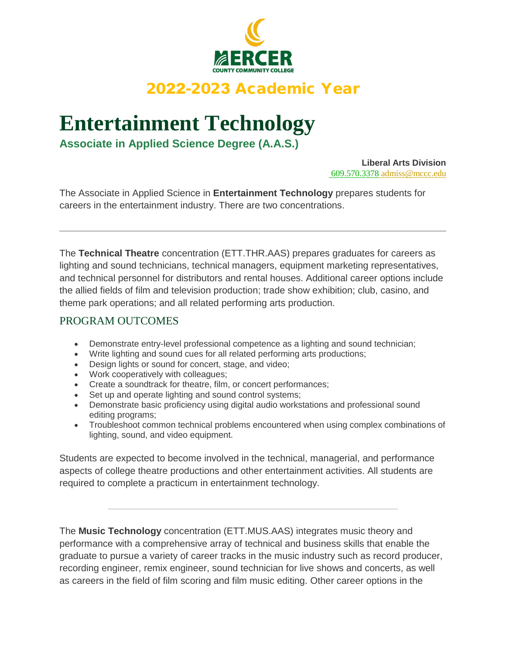

# 2022-2023 Academic Year

# **Entertainment Technology**

**Associate in Applied Science Degree (A.A.S.)**

**Liberal Arts Division** 609.570.3378 admiss@mccc.edu

The Associate in Applied Science in **Entertainment Technology** prepares students for careers in the entertainment industry. There are two concentrations.

The **Technical Theatre** concentration (ETT.THR.AAS) prepares graduates for careers as lighting and sound technicians, technical managers, equipment marketing representatives, and technical personnel for distributors and rental houses. Additional career options include the allied fields of film and television production; trade show exhibition; club, casino, and theme park operations; and all related performing arts production.

## PROGRAM OUTCOMES

- Demonstrate entry-level professional competence as a lighting and sound technician;
- Write lighting and sound cues for all related performing arts productions;
- Design lights or sound for concert, stage, and video;
- Work cooperatively with colleagues;
- Create a soundtrack for theatre, film, or concert performances;
- Set up and operate lighting and sound control systems;
- Demonstrate basic proficiency using digital audio workstations and professional sound editing programs;
- Troubleshoot common technical problems encountered when using complex combinations of lighting, sound, and video equipment.

Students are expected to become involved in the technical, managerial, and performance aspects of college theatre productions and other entertainment activities. All students are required to complete a practicum in entertainment technology.

The **Music Technology** concentration (ETT.MUS.AAS) integrates music theory and performance with a comprehensive array of technical and business skills that enable the graduate to pursue a variety of career tracks in the music industry such as record producer, recording engineer, remix engineer, sound technician for live shows and concerts, as well as careers in the field of film scoring and film music editing. Other career options in the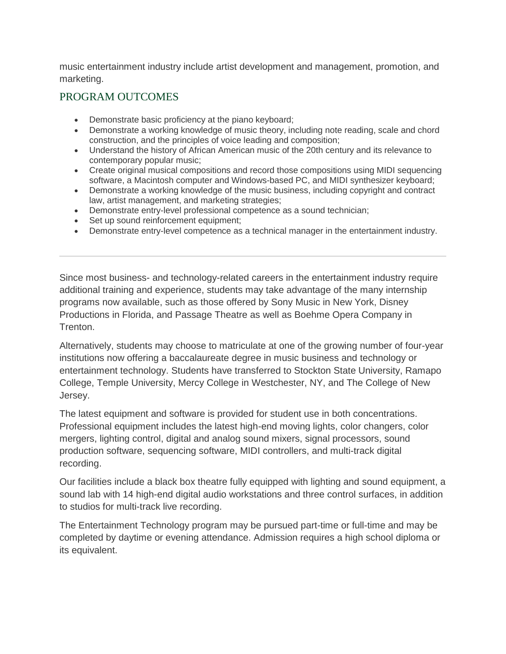music entertainment industry include artist development and management, promotion, and marketing.

### PROGRAM OUTCOMES

- Demonstrate basic proficiency at the piano keyboard:
- Demonstrate a working knowledge of music theory, including note reading, scale and chord construction, and the principles of voice leading and composition;
- Understand the history of African American music of the 20th century and its relevance to contemporary popular music;
- Create original musical compositions and record those compositions using MIDI sequencing software, a Macintosh computer and Windows-based PC, and MIDI synthesizer keyboard;
- Demonstrate a working knowledge of the music business, including copyright and contract law, artist management, and marketing strategies;
- Demonstrate entry-level professional competence as a sound technician;
- Set up sound reinforcement equipment;
- Demonstrate entry-level competence as a technical manager in the entertainment industry.

Since most business- and technology-related careers in the entertainment industry require additional training and experience, students may take advantage of the many internship programs now available, such as those offered by Sony Music in New York, Disney Productions in Florida, and Passage Theatre as well as Boehme Opera Company in Trenton.

Alternatively, students may choose to matriculate at one of the growing number of four-year institutions now offering a baccalaureate degree in music business and technology or entertainment technology. Students have transferred to Stockton State University, Ramapo College, Temple University, Mercy College in Westchester, NY, and The College of New Jersey.

The latest equipment and software is provided for student use in both concentrations. Professional equipment includes the latest high-end moving lights, color changers, color mergers, lighting control, digital and analog sound mixers, signal processors, sound production software, sequencing software, MIDI controllers, and multi-track digital recording.

Our facilities include a black box theatre fully equipped with lighting and sound equipment, a sound lab with 14 high-end digital audio workstations and three control surfaces, in addition to studios for multi-track live recording.

The Entertainment Technology program may be pursued part-time or full-time and may be completed by daytime or evening attendance. Admission requires a high school diploma or its equivalent.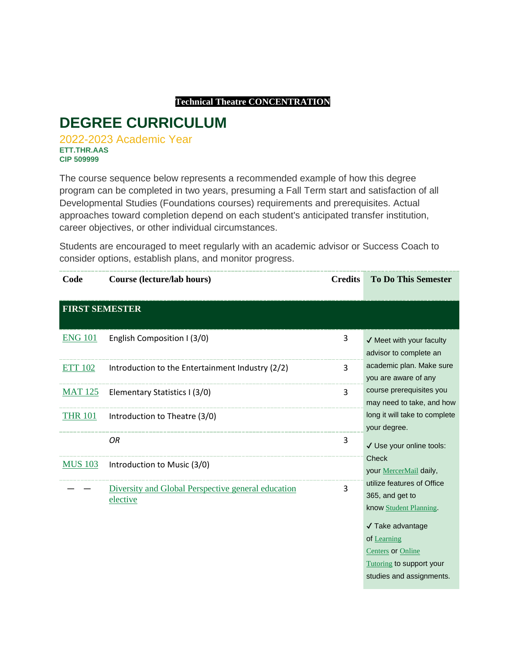#### **Technical Theatre CONCENTRATION**

# **DEGREE CURRICULUM**

2022-2023 Academic Year **ETT.THR.AAS CIP 509999**

The course sequence below represents a recommended example of how this degree program can be completed in two years, presuming a Fall Term start and satisfaction of all Developmental Studies (Foundations courses) requirements and prerequisites. Actual approaches toward completion depend on each student's anticipated transfer institution, career objectives, or other individual circumstances.

Students are encouraged to meet regularly with an academic advisor or Success Coach to consider options, establish plans, and monitor progress.

| Code                  | Course (lecture/lab hours)                                     | <b>Credits</b> | <b>To Do This Semester</b>                                                                                                                                                                            |
|-----------------------|----------------------------------------------------------------|----------------|-------------------------------------------------------------------------------------------------------------------------------------------------------------------------------------------------------|
| <b>FIRST SEMESTER</b> |                                                                |                |                                                                                                                                                                                                       |
| <b>ENG 101</b>        | English Composition I (3/0)                                    | 3              | $\checkmark$ Meet with your faculty<br>advisor to complete an                                                                                                                                         |
| <b>ETT 102</b>        | Introduction to the Entertainment Industry (2/2)               | 3              | academic plan. Make sure<br>you are aware of any                                                                                                                                                      |
| <b>MAT 125</b>        | Elementary Statistics I (3/0)                                  | 3              | course prerequisites you<br>may need to take, and how                                                                                                                                                 |
| <b>THR 101</b>        | Introduction to Theatre (3/0)                                  |                | long it will take to complete<br>your degree.                                                                                                                                                         |
|                       | <b>OR</b>                                                      | 3              | √ Use your online tools:                                                                                                                                                                              |
| <b>MUS 103</b>        | Introduction to Music (3/0)                                    |                | <b>Check</b><br>your MercerMail daily,                                                                                                                                                                |
|                       | Diversity and Global Perspective general education<br>elective | 3              | utilize features of Office<br>365, and get to<br>know Student Planning.<br>√ Take advantage<br>of Learning<br><b>Centers or Online</b><br><b>Tutoring to support your</b><br>studies and assignments. |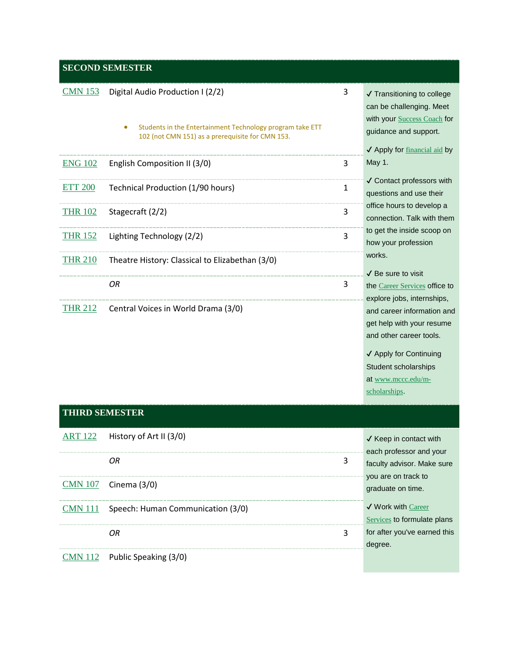## **SECOND SEMESTER**

| <b>CMN 153</b> | Digital Audio Production I (2/2)<br>Students in the Entertainment Technology program take ETT<br>۰<br>102 (not CMN 151) as a prerequisite for CMN 153. | 3 | ✔ Transitioning to college<br>can be challenging. Meet<br>with your Success Coach for<br>guidance and support.<br>✔ Apply for financial aid by |
|----------------|--------------------------------------------------------------------------------------------------------------------------------------------------------|---|------------------------------------------------------------------------------------------------------------------------------------------------|
| <b>ENG 102</b> | English Composition II (3/0)                                                                                                                           | 3 | May 1.                                                                                                                                         |
| <b>ETT 200</b> | Technical Production (1/90 hours)                                                                                                                      | 1 | $\checkmark$ Contact professors with<br>questions and use their                                                                                |
| <b>THR 102</b> | Stagecraft (2/2)                                                                                                                                       | 3 | office hours to develop a<br>connection. Talk with them                                                                                        |
| <b>THR 152</b> | Lighting Technology (2/2)                                                                                                                              | 3 | to get the inside scoop on<br>how your profession                                                                                              |
| <b>THR 210</b> | Theatre History: Classical to Elizabethan (3/0)                                                                                                        |   | works.                                                                                                                                         |
|                | ΟR                                                                                                                                                     | 3 | $\sqrt{\phantom{a}}$ Be sure to visit<br>the Career Services office to<br>explore jobs, internships,                                           |
| <b>THR 212</b> | Central Voices in World Drama (3/0)                                                                                                                    |   | and career information and<br>get help with your resume<br>and other career tools.                                                             |

✔ Apply for Continuing Student scholarships at www.mccc.edu/mscholarships.

#### **THIRD SEMESTER**

|                | $ART 122$ History of Art II (3/0) | $\sqrt{\ }$ Keep in contact with      |
|----------------|-----------------------------------|---------------------------------------|
|                |                                   | each professor and your               |
|                | OR.<br>3                          | faculty advisor. Make sure            |
|                |                                   | you are on track to                   |
|                | $CMN$ 107 Cinema (3/0)            | graduate on time.                     |
| <b>CMN</b> 111 | Speech: Human Communication (3/0) | $\sqrt{\phantom{a}}$ Work with Career |
|                |                                   | Services to formulate plans           |
|                | 3<br>ΩR                           | for after you've earned this          |
|                |                                   | degree.                               |
| CMN 112        | Public Speaking (3/0)             |                                       |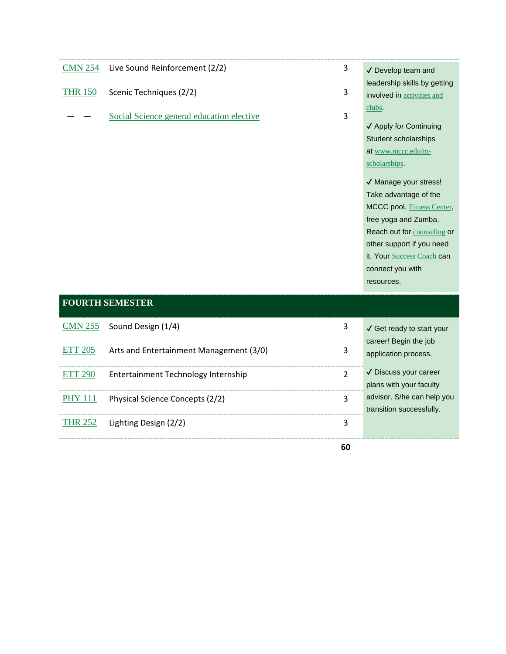| <b>CMN 254</b> | Live Sound Reinforcement (2/2)            | 3 | √ Develop team and                |
|----------------|-------------------------------------------|---|-----------------------------------|
|                |                                           |   | leadership skills by getting      |
| <b>THR 150</b> | Scenic Techniques (2/2)                   | 3 | involved in <b>activities</b> and |
|                |                                           |   |                                   |
|                | Social Science general education elective | 3 | clubs.                            |
|                |                                           |   | ✔ Apply for Continuing            |
|                |                                           |   | Student scholarships              |
|                |                                           |   | at www.mccc.edu/m-                |
|                |                                           |   | scholarships.                     |
|                |                                           |   | √ Manage your stress!             |
|                |                                           |   | Take advantage of the             |
|                |                                           |   | MCCC pool, Fitness Center,        |
|                |                                           |   | free yoga and Zumba.              |
|                |                                           |   | Reach out for counseling or       |
|                |                                           |   | other support if you need         |

it. Your **Success Coach** can

connect you with resources.

| <b>FOURTH SEMESTER</b> |  |
|------------------------|--|
|------------------------|--|

|                | $CMN 255$ Sound Design $(1/4)$          |    | √ Get ready to start your                              |
|----------------|-----------------------------------------|----|--------------------------------------------------------|
| <b>ETT 205</b> | Arts and Entertainment Management (3/0) |    | career! Begin the job<br>application process.          |
|                | Entertainment Technology Internship     | າ  | √ Discuss your career<br>plans with your faculty       |
| <b>PHY 111</b> | Physical Science Concepts (2/2)         | ς  | advisor. S/he can help you<br>transition successfully. |
| <b>THR 252</b> | Lighting Design (2/2)                   |    |                                                        |
|                |                                         | 60 |                                                        |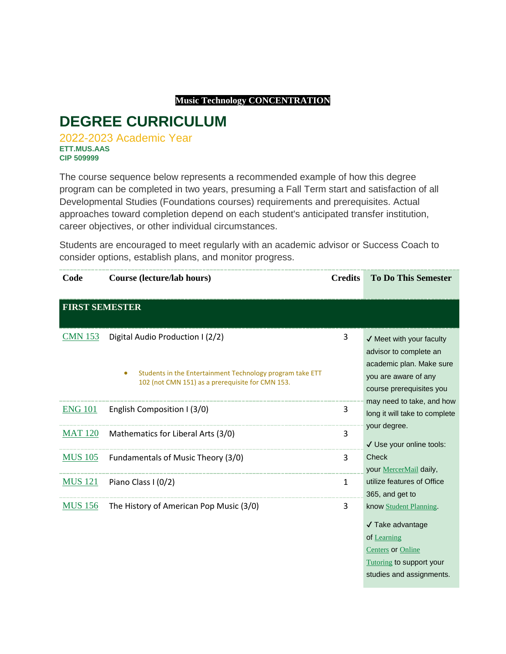#### **Music Technology CONCENTRATION**

## **DEGREE CURRICULUM**

2022-2023 Academic Year **ETT.MUS.AAS CIP 509999**

The course sequence below represents a recommended example of how this degree program can be completed in two years, presuming a Fall Term start and satisfaction of all Developmental Studies (Foundations courses) requirements and prerequisites. Actual approaches toward completion depend on each student's anticipated transfer institution, career objectives, or other individual circumstances.

Students are encouraged to meet regularly with an academic advisor or Success Coach to consider options, establish plans, and monitor progress.

| Code                  | Course (lecture/lab hours)                                                                                                 | <b>Credits</b> | <b>To Do This Semester</b>                                                                                                                     |
|-----------------------|----------------------------------------------------------------------------------------------------------------------------|----------------|------------------------------------------------------------------------------------------------------------------------------------------------|
| <b>FIRST SEMESTER</b> |                                                                                                                            |                |                                                                                                                                                |
| <b>CMN 153</b>        | Digital Audio Production I (2/2)                                                                                           | 3              | $\checkmark$ Meet with your faculty<br>advisor to complete an                                                                                  |
|                       | Students in the Entertainment Technology program take ETT<br>$\bullet$<br>102 (not CMN 151) as a prerequisite for CMN 153. |                | academic plan. Make sure<br>you are aware of any<br>course prerequisites you                                                                   |
| <b>ENG 101</b>        | English Composition I (3/0)                                                                                                | 3              | may need to take, and how<br>long it will take to complete                                                                                     |
| <b>MAT 120</b>        | Mathematics for Liberal Arts (3/0)                                                                                         | 3              | your degree.<br>√ Use your online tools:                                                                                                       |
| <b>MUS 105</b>        | Fundamentals of Music Theory (3/0)                                                                                         | 3              | <b>Check</b><br>your MercerMail daily,                                                                                                         |
| <b>MUS</b> 121        | Piano Class I (0/2)                                                                                                        | $\mathbf{1}$   | utilize features of Office<br>365, and get to                                                                                                  |
| <b>MUS</b> 156        | The History of American Pop Music (3/0)                                                                                    | 3              | know Student Planning.<br>$\sqrt{}$ Take advantage<br>of Learning<br>Centers or Online<br>Tutoring to support your<br>studies and assignments. |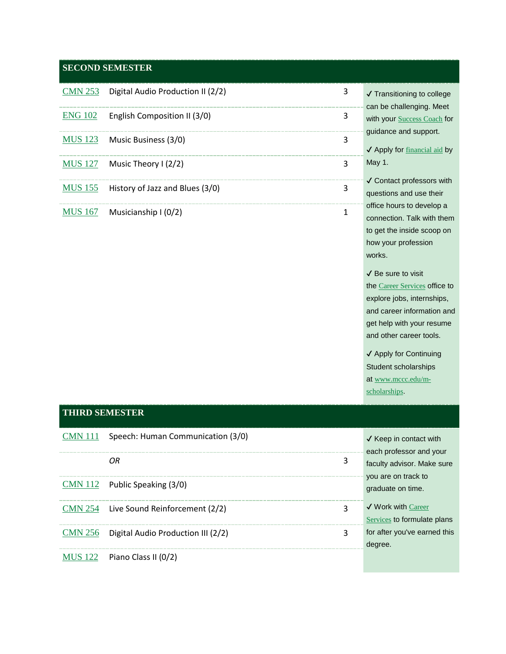#### **SECOND SEMESTER**

| $CMN 253$ Digital Audio Production II (2/2) | 3 | $\sqrt{r}$ Tran          |
|---------------------------------------------|---|--------------------------|
| $ENG$ 102 English Composition II (3/0)      | 3 | can be<br>with yo        |
| MUS 123 Music Business (3/0)                |   | guidan<br>$\sqrt{A}$ ppl |
| MUS $127$ Music Theory I (2/2)              | ς | May 1.                   |
| MUS 155 History of Jazz and Blues (3/0)     | 3 | √ Cont<br>questic        |
| $MUS 167$ Musicianship I (0/2)              |   | office h<br>connec       |

sitioning to college challenging. Meet ur **Success Coach** for ce and support.

ly for financial aid by

tact professors with ons and use their ours to develop a ction. Talk with them to get the inside scoop on how your profession works.

✔ Be sure to visit the Career Services office to explore jobs, internships, and career information and get help with your resume and other career tools.

✔ Apply for Continuing Student scholarships at www.mccc.edu/mscholarships.

#### **THIRD SEMESTER**  $\frac{\text{CMN }111}{\text{V}$  Speech: Human Communication (3/0)  $\blacksquare$  X Keep in contact with each professor and your faculty advisor. Make sure you are on track to graduate on time. ✔ Work with Career Services to formulate plans for after you've earned this degree. *OR* 3 CMN 112 Public Speaking (3/0) CMN 254 Live Sound Reinforcement (2/2) 3 CMN 256 Digital Audio Production III (2/2) 3 MUS 122 Piano Class II (0/2)